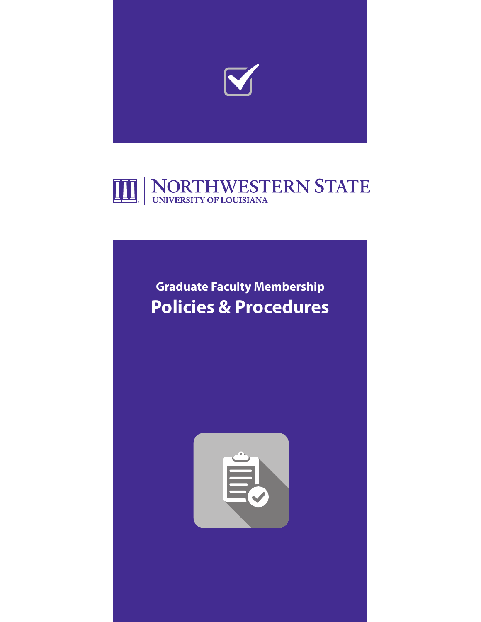



# **Graduate Faculty Membership Policies & Procedures**

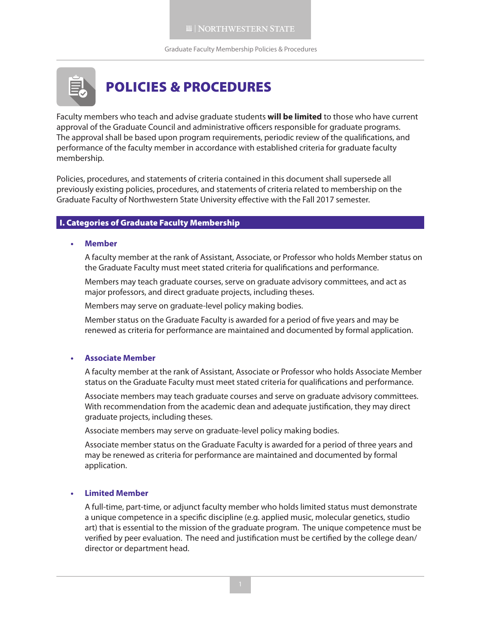Graduate Faculty Membership Policies & Procedures



Faculty members who teach and advise graduate students **will be limited** to those who have current approval of the Graduate Council and administrative officers responsible for graduate programs. The approval shall be based upon program requirements, periodic review of the qualifications, and performance of the faculty member in accordance with established criteria for graduate faculty membership.

Policies, procedures, and statements of criteria contained in this document shall supersede all previously existing policies, procedures, and statements of criteria related to membership on the Graduate Faculty of Northwestern State University effective with the Fall 2017 semester.

### I. Categories of Graduate Faculty Membership

#### **• Member**

A faculty member at the rank of Assistant, Associate, or Professor who holds Member status on the Graduate Faculty must meet stated criteria for qualifications and performance.

Members may teach graduate courses, serve on graduate advisory committees, and act as major professors, and direct graduate projects, including theses.

Members may serve on graduate-level policy making bodies.

Member status on the Graduate Faculty is awarded for a period of five years and may be renewed as criteria for performance are maintained and documented by formal application.

#### **• Associate Member**

A faculty member at the rank of Assistant, Associate or Professor who holds Associate Member status on the Graduate Faculty must meet stated criteria for qualifications and performance.

Associate members may teach graduate courses and serve on graduate advisory committees. With recommendation from the academic dean and adequate justification, they may direct graduate projects, including theses.

Associate members may serve on graduate-level policy making bodies.

Associate member status on the Graduate Faculty is awarded for a period of three years and may be renewed as criteria for performance are maintained and documented by formal application.

#### **• Limited Member**

A full-time, part-time, or adjunct faculty member who holds limited status must demonstrate a unique competence in a specific discipline (e.g. applied music, molecular genetics, studio art) that is essential to the mission of the graduate program. The unique competence must be verified by peer evaluation. The need and justification must be certified by the college dean/ director or department head.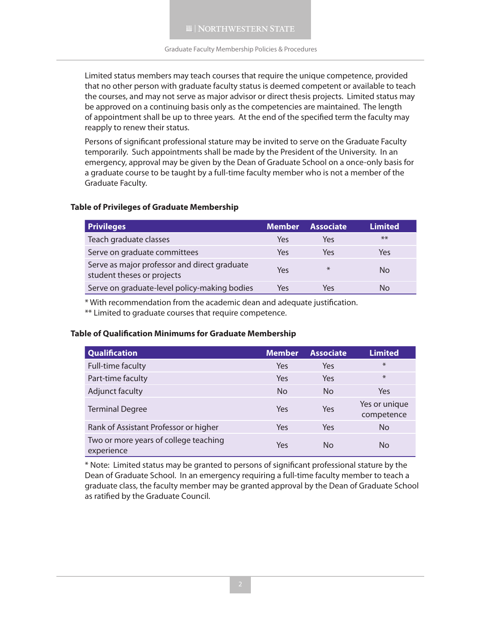Limited status members may teach courses that require the unique competence, provided that no other person with graduate faculty status is deemed competent or available to teach the courses, and may not serve as major advisor or direct thesis projects. Limited status may be approved on a continuing basis only as the competencies are maintained. The length of appointment shall be up to three years. At the end of the specified term the faculty may reapply to renew their status.

Persons of significant professional stature may be invited to serve on the Graduate Faculty temporarily. Such appointments shall be made by the President of the University. In an emergency, approval may be given by the Dean of Graduate School on a once-only basis for a graduate course to be taught by a full-time faculty member who is not a member of the Graduate Faculty.

### **Table of Privileges of Graduate Membership**

| <b>Privileges</b>                                                          | <b>Member</b> | <b>Associate</b> | <b>Limited</b> |
|----------------------------------------------------------------------------|---------------|------------------|----------------|
| Teach graduate classes                                                     | Yes           | Yes              | $***$          |
| Serve on graduate committees                                               | Yes           | Yes              | Yes            |
| Serve as major professor and direct graduate<br>student theses or projects | Yes           | $\ast$           | No             |
| Serve on graduate-level policy-making bodies                               | Yes           | Yes              | Nο             |

\* With recommendation from the academic dean and adequate justification.

\*\* Limited to graduate courses that require competence.

#### **Table of Qualification Minimums for Graduate Membership**

| <b>Qualification</b>                                | <b>Member</b> | <b>Associate</b> | <b>Limited</b>              |
|-----------------------------------------------------|---------------|------------------|-----------------------------|
| Full-time faculty                                   | Yes           | Yes              | $\ast$                      |
| Part-time faculty                                   | Yes           | Yes              | $\ast$                      |
| Adjunct faculty                                     | <b>No</b>     | <b>No</b>        | Yes                         |
| <b>Terminal Degree</b>                              | Yes           | Yes              | Yes or unique<br>competence |
| Rank of Assistant Professor or higher               | Yes           | Yes              | No                          |
| Two or more years of college teaching<br>experience | Yes           | <b>No</b>        | No                          |

\* Note: Limited status may be granted to persons of significant professional stature by the Dean of Graduate School. In an emergency requiring a full-time faculty member to teach a graduate class, the faculty member may be granted approval by the Dean of Graduate School as ratified by the Graduate Council.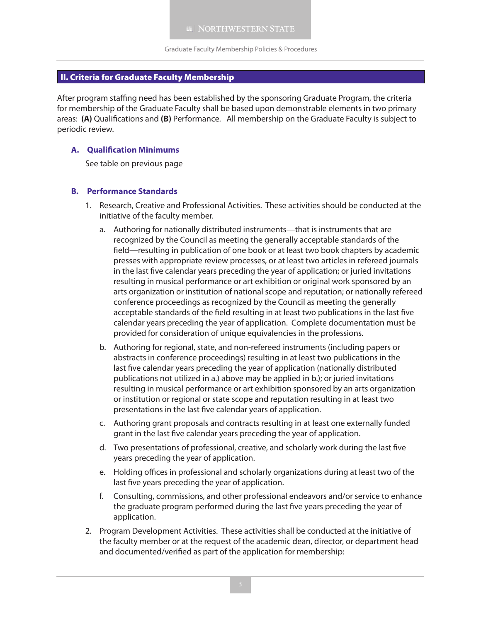# II. Criteria for Graduate Faculty Membership

After program staffing need has been established by the sponsoring Graduate Program, the criteria for membership of the Graduate Faculty shall be based upon demonstrable elements in two primary areas: **(A)** Qualifications and **(B)** Performance. All membership on the Graduate Faculty is subject to periodic review.

# **A. Qualification Minimums**

See table on previous page

#### **B. Performance Standards**

- 1. Research, Creative and Professional Activities. These activities should be conducted at the initiative of the faculty member.
	- a. Authoring for nationally distributed instruments—that is instruments that are recognized by the Council as meeting the generally acceptable standards of the field—resulting in publication of one book or at least two book chapters by academic presses with appropriate review processes, or at least two articles in refereed journals in the last five calendar years preceding the year of application; or juried invitations resulting in musical performance or art exhibition or original work sponsored by an arts organization or institution of national scope and reputation; or nationally refereed conference proceedings as recognized by the Council as meeting the generally acceptable standards of the field resulting in at least two publications in the last five calendar years preceding the year of application. Complete documentation must be provided for consideration of unique equivalencies in the professions.
	- b. Authoring for regional, state, and non-refereed instruments (including papers or abstracts in conference proceedings) resulting in at least two publications in the last five calendar years preceding the year of application (nationally distributed publications not utilized in a.) above may be applied in b.); or juried invitations resulting in musical performance or art exhibition sponsored by an arts organization or institution or regional or state scope and reputation resulting in at least two presentations in the last five calendar years of application.
	- c. Authoring grant proposals and contracts resulting in at least one externally funded grant in the last five calendar years preceding the year of application.
	- d. Two presentations of professional, creative, and scholarly work during the last five years preceding the year of application.
	- e. Holding offices in professional and scholarly organizations during at least two of the last five years preceding the year of application.
	- f. Consulting, commissions, and other professional endeavors and/or service to enhance the graduate program performed during the last five years preceding the year of application.
- 2. Program Development Activities. These activities shall be conducted at the initiative of the faculty member or at the request of the academic dean, director, or department head and documented/verified as part of the application for membership: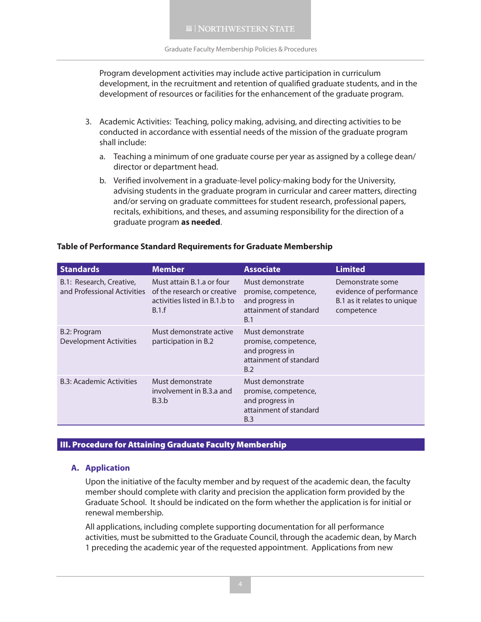Program development activities may include active participation in curriculum development, in the recruitment and retention of qualified graduate students, and in the development of resources or facilities for the enhancement of the graduate program.

- 3. Academic Activities: Teaching, policy making, advising, and directing activities to be conducted in accordance with essential needs of the mission of the graduate program shall include:
	- a. Teaching a minimum of one graduate course per year as assigned by a college dean/ director or department head.
	- b. Verified involvement in a graduate-level policy-making body for the University, advising students in the graduate program in curricular and career matters, directing and/or serving on graduate committees for student research, professional papers, recitals, exhibitions, and theses, and assuming responsibility for the direction of a graduate program **as needed**.

# **Table of Performance Standard Requirements for Graduate Membership**

| <b>Standards</b>                                        | <b>Member</b>                                                                                      | <b>Associate</b>                                                                             | <b>Limited</b>                                                                           |
|---------------------------------------------------------|----------------------------------------------------------------------------------------------------|----------------------------------------------------------------------------------------------|------------------------------------------------------------------------------------------|
| B.1: Research, Creative,<br>and Professional Activities | Must attain B.1.a or four<br>of the research or creative<br>activities listed in B.1.b to<br>B.1.f | Must demonstrate<br>promise, competence,<br>and progress in<br>attainment of standard<br>B.1 | Demonstrate some<br>evidence of performance<br>B.1 as it relates to unique<br>competence |
| B.2: Program<br><b>Development Activities</b>           | Must demonstrate active<br>participation in B.2                                                    | Must demonstrate<br>promise, competence,<br>and progress in<br>attainment of standard<br>B.2 |                                                                                          |
| <b>B.3: Academic Activities</b>                         | Must demonstrate<br>involvement in B.3.a and<br>B.3.b                                              | Must demonstrate<br>promise, competence,<br>and progress in<br>attainment of standard<br>B.3 |                                                                                          |

#### III. Procedure for Attaining Graduate Faculty Membership

#### **A. Application**

Upon the initiative of the faculty member and by request of the academic dean, the faculty member should complete with clarity and precision the application form provided by the Graduate School. It should be indicated on the form whether the application is for initial or renewal membership.

All applications, including complete supporting documentation for all performance activities, must be submitted to the Graduate Council, through the academic dean, by March 1 preceding the academic year of the requested appointment. Applications from new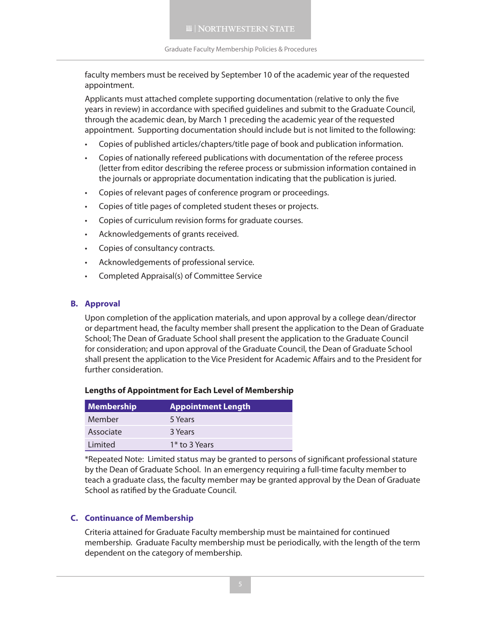faculty members must be received by September 10 of the academic year of the requested appointment.

Applicants must attached complete supporting documentation (relative to only the five years in review) in accordance with specified guidelines and submit to the Graduate Council, through the academic dean, by March 1 preceding the academic year of the requested appointment. Supporting documentation should include but is not limited to the following:

- Copies of published articles/chapters/title page of book and publication information.
- Copies of nationally refereed publications with documentation of the referee process (letter from editor describing the referee process or submission information contained in the journals or appropriate documentation indicating that the publication is juried.
- Copies of relevant pages of conference program or proceedings.
- • Copies of title pages of completed student theses or projects.
- • Copies of curriculum revision forms for graduate courses.
- • Acknowledgements of grants received.
- • Copies of consultancy contracts.
- • Acknowledgements of professional service.
- • Completed Appraisal(s) of Committee Service

### **B. Approval**

Upon completion of the application materials, and upon approval by a college dean/director or department head, the faculty member shall present the application to the Dean of Graduate School; The Dean of Graduate School shall present the application to the Graduate Council for consideration; and upon approval of the Graduate Council, the Dean of Graduate School shall present the application to the Vice President for Academic Affairs and to the President for further consideration.

| <b>Lengths of Appointment for Each Level of Membership</b> |  |
|------------------------------------------------------------|--|
|                                                            |  |

| <b>Membership</b> | <b>Appointment Length</b> |
|-------------------|---------------------------|
| Member            | 5 Years                   |
| Associate         | 3 Years                   |
| Limited           | 1 <sup>*</sup> to 3 Years |

\*Repeated Note: Limited status may be granted to persons of significant professional stature by the Dean of Graduate School. In an emergency requiring a full-time faculty member to teach a graduate class, the faculty member may be granted approval by the Dean of Graduate School as ratified by the Graduate Council.

# **C. Continuance of Membership**

Criteria attained for Graduate Faculty membership must be maintained for continued membership. Graduate Faculty membership must be periodically, with the length of the term dependent on the category of membership.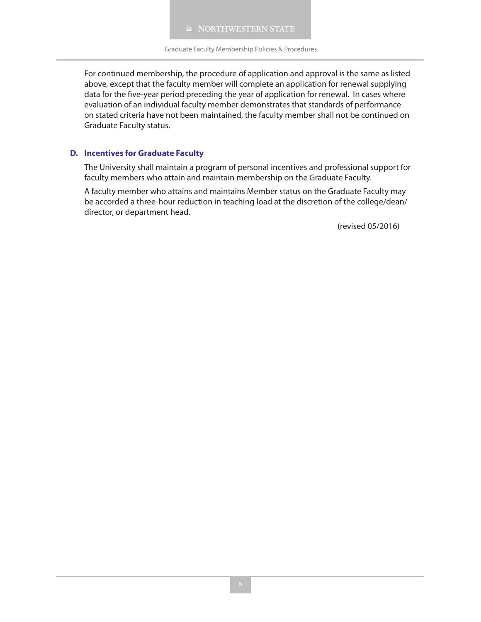For continued membership, the procedure of application and approval is the same as listed above, except that the faculty member will complete an application for renewal supplying data for the five-year period preceding the year of application for renewal. In cases where evaluation of an individual faculty member demonstrates that standards of performance on stated criteria have not been maintained, the faculty member shall not be continued on Graduate Faculty status.

# **D. Incentives for Graduate Faculty**

The University shall maintain a program of personal incentives and professional support for faculty members who attain and maintain membership on the Graduate Faculty.

A faculty member who attains and maintains Member status on the Graduate Faculty may be accorded a three-hour reduction in teaching load at the discretion of the college/dean/ director, or department head.

(revised 05/2016)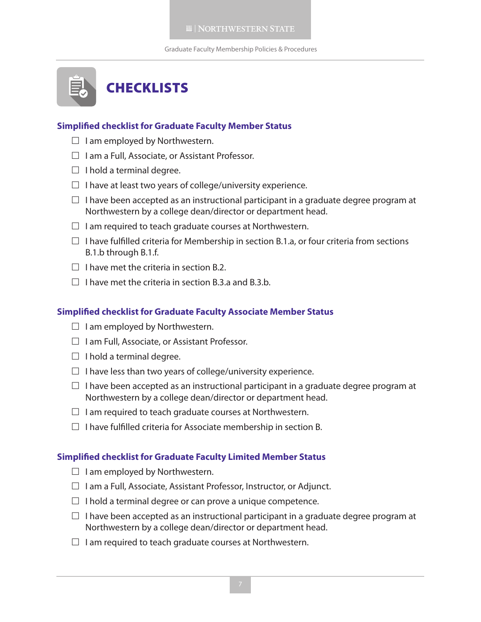Graduate Faculty Membership Policies & Procedures



# **Simplified checklist for Graduate Faculty Member Status**

- $\Box$  I am employed by Northwestern.
- $\Box$  I am a Full, Associate, or Assistant Professor.
- $\Box$  I hold a terminal degree.
- $\square$  I have at least two years of college/university experience.
- $\Box$  I have been accepted as an instructional participant in a graduate degree program at Northwestern by a college dean/director or department head.
- $\Box$  I am required to teach graduate courses at Northwestern.
- $\Box$  I have fulfilled criteria for Membership in section B.1.a, or four criteria from sections B.1.b through B.1.f.
- $\Box$  I have met the criteria in section B.2.
- $\Box$  I have met the criteria in section B.3.a and B.3.b.

# **Simplified checklist for Graduate Faculty Associate Member Status**

- $\Box$  I am employed by Northwestern.
- $\Box$  I am Full, Associate, or Assistant Professor.
- $\Box$  I hold a terminal degree.
- $\square$  I have less than two years of college/university experience.
- $\Box$  I have been accepted as an instructional participant in a graduate degree program at Northwestern by a college dean/director or department head.
- $\Box$  I am required to teach graduate courses at Northwestern.
- $\Box$  I have fulfilled criteria for Associate membership in section B.

#### **Simplified checklist for Graduate Faculty Limited Member Status**

- $\Box$  I am employed by Northwestern.
- $\Box$  I am a Full, Associate, Assistant Professor, Instructor, or Adjunct.
- $\Box$  I hold a terminal degree or can prove a unique competence.
- $\Box$  I have been accepted as an instructional participant in a graduate degree program at Northwestern by a college dean/director or department head.
- $\Box$  I am required to teach graduate courses at Northwestern.